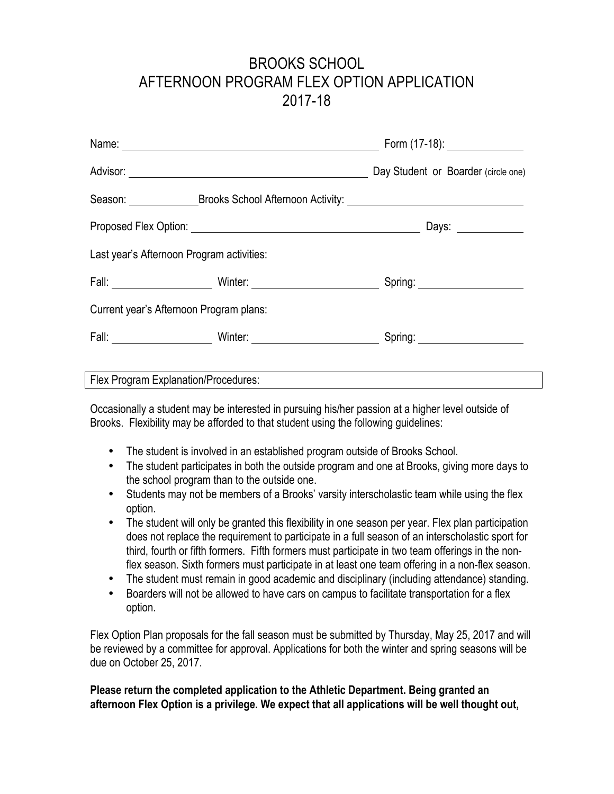## BROOKS SCHOOL AFTERNOON PROGRAM FLEX OPTION APPLICATION 2017-18

|                                           |  | Form (17-18): _______________       |  |
|-------------------------------------------|--|-------------------------------------|--|
|                                           |  | Day Student or Boarder (circle one) |  |
|                                           |  |                                     |  |
|                                           |  |                                     |  |
| Last year's Afternoon Program activities: |  |                                     |  |
|                                           |  |                                     |  |
| Current year's Afternoon Program plans:   |  |                                     |  |
|                                           |  |                                     |  |
| Flex Program Explanation/Procedures:      |  |                                     |  |

Occasionally a student may be interested in pursuing his/her passion at a higher level outside of Brooks. Flexibility may be afforded to that student using the following guidelines:

- The student is involved in an established program outside of Brooks School.
- The student participates in both the outside program and one at Brooks, giving more days to the school program than to the outside one.
- Students may not be members of a Brooks' varsity interscholastic team while using the flex option.
- The student will only be granted this flexibility in one season per year. Flex plan participation does not replace the requirement to participate in a full season of an interscholastic sport for third, fourth or fifth formers. Fifth formers must participate in two team offerings in the nonflex season. Sixth formers must participate in at least one team offering in a non-flex season.
- The student must remain in good academic and disciplinary (including attendance) standing.
- Boarders will not be allowed to have cars on campus to facilitate transportation for a flex option.

Flex Option Plan proposals for the fall season must be submitted by Thursday, May 25, 2017 and will be reviewed by a committee for approval. Applications for both the winter and spring seasons will be due on October 25, 2017.

**Please return the completed application to the Athletic Department. Being granted an afternoon Flex Option is a privilege. We expect that all applications will be well thought out,**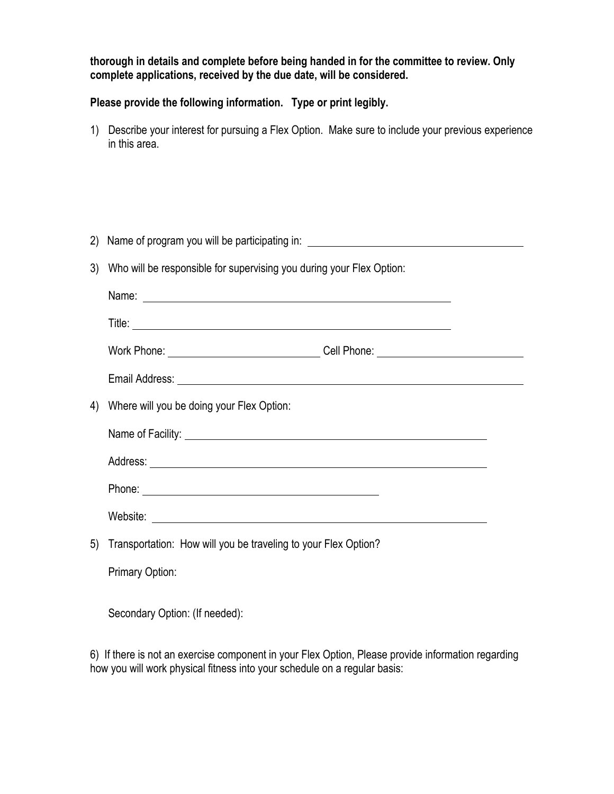**thorough in details and complete before being handed in for the committee to review. Only complete applications, received by the due date, will be considered.**

**Please provide the following information. Type or print legibly.**

1) Describe your interest for pursuing a Flex Option. Make sure to include your previous experience in this area.

| (2) | Name of program you will be participating in: __________________________________ |  |  |
|-----|----------------------------------------------------------------------------------|--|--|
| 3)  | Who will be responsible for supervising you during your Flex Option:             |  |  |
|     |                                                                                  |  |  |
|     |                                                                                  |  |  |
|     | Work Phone: _______________________________Cell Phone: _________________________ |  |  |
|     |                                                                                  |  |  |
| 4)  | Where will you be doing your Flex Option:                                        |  |  |
|     |                                                                                  |  |  |
|     |                                                                                  |  |  |
|     |                                                                                  |  |  |
|     |                                                                                  |  |  |
| 5)  | Transportation: How will you be traveling to your Flex Option?                   |  |  |
|     | Primary Option:                                                                  |  |  |

Secondary Option: (If needed):

6) If there is not an exercise component in your Flex Option, Please provide information regarding how you will work physical fitness into your schedule on a regular basis: